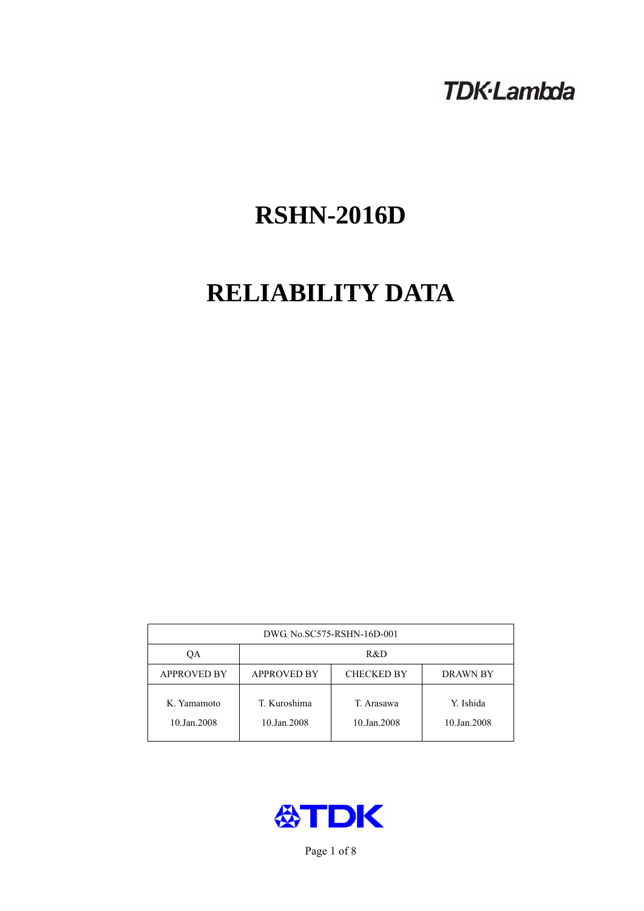## **TDK-Lambda**

# **RSHN-2016D**

# **RELIABILITY DATA**

| DWG. No.SC575-RSHN-16D-001 |                                                            |                           |                          |  |  |
|----------------------------|------------------------------------------------------------|---------------------------|--------------------------|--|--|
| ОA                         | R&D                                                        |                           |                          |  |  |
| <b>APPROVED BY</b>         | <b>APPROVED BY</b><br><b>CHECKED BY</b><br><b>DRAWN BY</b> |                           |                          |  |  |
| K. Yamamoto<br>10.Jan.2008 | T. Kuroshima<br>10.Jan.2008                                | T. Arasawa<br>10.Jan.2008 | Y. Ishida<br>10.Jan.2008 |  |  |



Page 1 of 8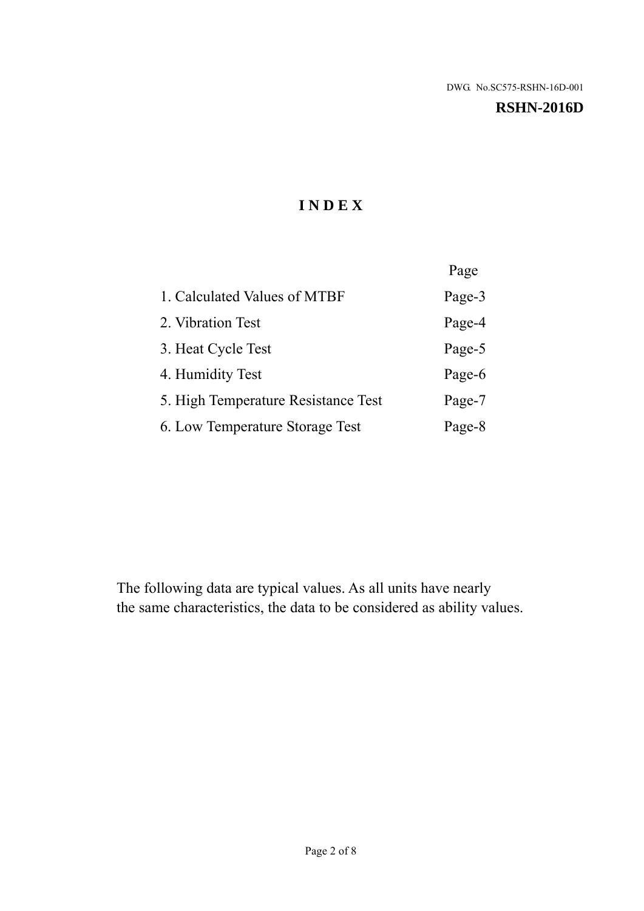#### **RSHN-2016D**

## **I N D E X**

|                                     | Page   |
|-------------------------------------|--------|
| 1. Calculated Values of MTBF        | Page-3 |
| 2. Vibration Test                   | Page-4 |
| 3. Heat Cycle Test                  | Page-5 |
| 4. Humidity Test                    | Page-6 |
| 5. High Temperature Resistance Test | Page-7 |
| 6. Low Temperature Storage Test     | Page-8 |

The following data are typical values. As all units have nearly the same characteristics, the data to be considered as ability values.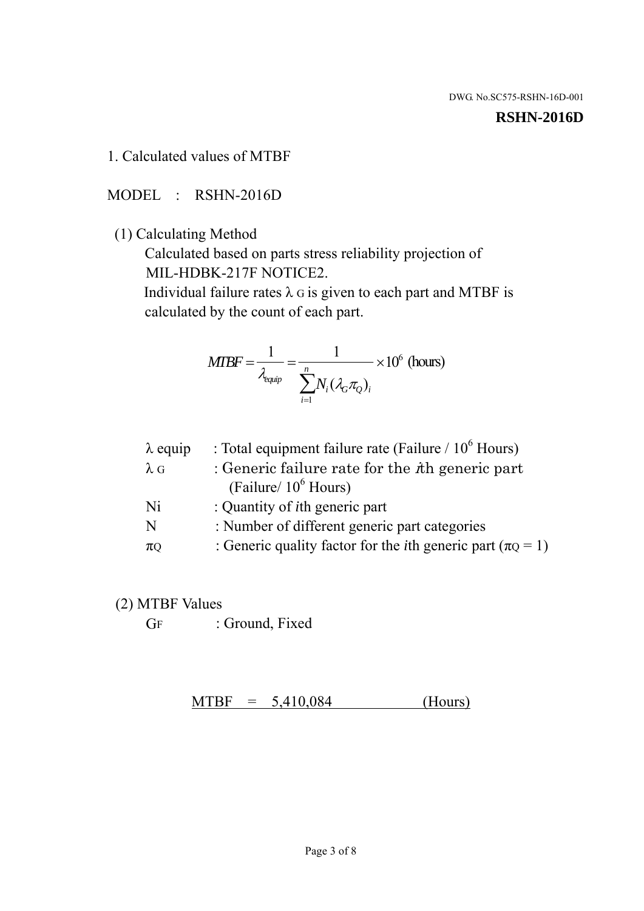#### **RSHN-2016D**

1. Calculated values of MTBF

MODEL : RSHN-2016D

(1) Calculating Method

 Calculated based on parts stress reliability projection of MIL-HDBK-217F NOTICE2.

Individual failure rates  $\lambda$  G is given to each part and MTBF is calculated by the count of each part.

$$
MTBF = \frac{1}{\lambda_{\text{equip}}} = \frac{1}{\sum_{i=1}^{n} N_i (\lambda_G \pi_Q)_i} \times 10^6 \text{ (hours)}
$$

| : Total equipment failure rate (Failure / $10^6$ Hours)                   |
|---------------------------------------------------------------------------|
| : Generic failure rate for the $\hbar$ generic part                       |
| (Failure/ $10^6$ Hours)                                                   |
| : Quantity of <i>i</i> th generic part                                    |
| : Number of different generic part categories                             |
| : Generic quality factor for the <i>i</i> th generic part ( $\pi Q = 1$ ) |
|                                                                           |

- (2) MTBF Values
	- GF : Ground, Fixed

 $MTBF = 5,410,084$  (Hours)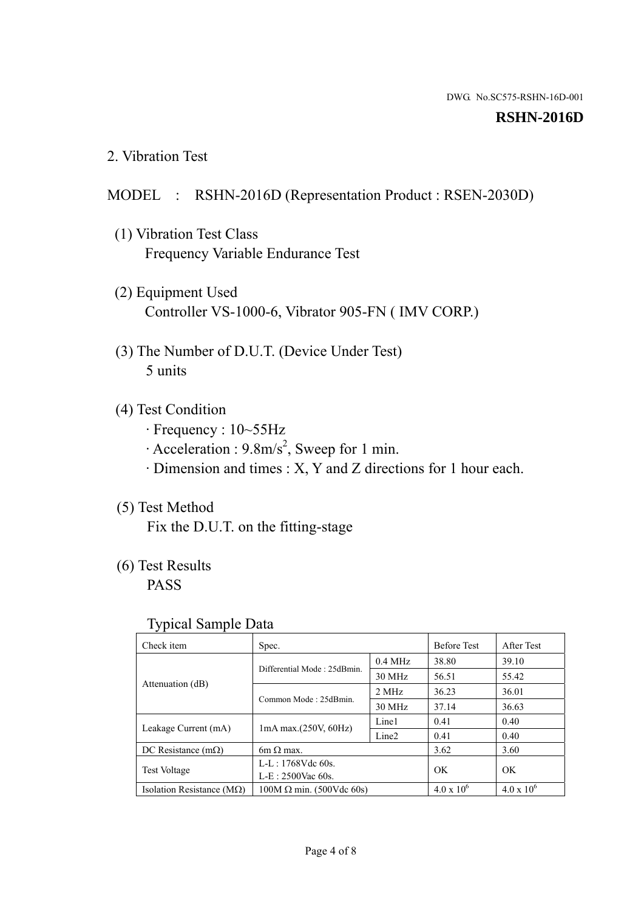#### **RSHN-2016D**

2. Vibration Test

### MODEL : RSHN-2016D (Representation Product : RSEN-2030D)

- (1) Vibration Test Class Frequency Variable Endurance Test
- (2) Equipment Used Controller VS-1000-6, Vibrator 905-FN ( IMV CORP.)
- (3) The Number of D.U.T. (Device Under Test) 5 units
- (4) Test Condition
	- · Frequency : 10~55Hz
	- $\cdot$  Acceleration : 9.8m/s<sup>2</sup>, Sweep for 1 min.
	- · Dimension and times : X, Y and Z directions for 1 hour each.

## (5) Test Method

Fix the D.U.T. on the fitting-stage

## (6) Test Results

PASS

#### Typical Sample Data

| Check item                         | Spec.                           |                   | <b>Before Test</b>  | After Test          |
|------------------------------------|---------------------------------|-------------------|---------------------|---------------------|
| Attenuation (dB)                   | Differential Mode: 25dBmin.     | $0.4$ MHz         | 38.80               | 39.10               |
|                                    |                                 | 30 MHz            | 56.51               | 55.42               |
|                                    | Common Mode: 25dBmin.           | 2 MHz             | 36.23               | 36.01               |
|                                    |                                 | 30 MHz            | 37.14               | 36.63               |
| Leakage Current (mA)               | $1mA$ max. $(250V, 60Hz)$       | Line1             | 0.41                | 0.40                |
|                                    |                                 | Line <sub>2</sub> | 0.41                | 0.40                |
| DC Resistance $(m\Omega)$          | 6m $\Omega$ max.                |                   | 3.62                | 3.60                |
| <b>Test Voltage</b>                | $L-L: 1768Vdc$ 60s.             |                   | OK                  | OK                  |
|                                    | $L-E$ : 2500Vac 60s.            |                   |                     |                     |
| Isolation Resistance ( $M\Omega$ ) | $100M \Omega$ min. (500Vdc 60s) |                   | $4.0 \times 10^{6}$ | $4.0 \times 10^{6}$ |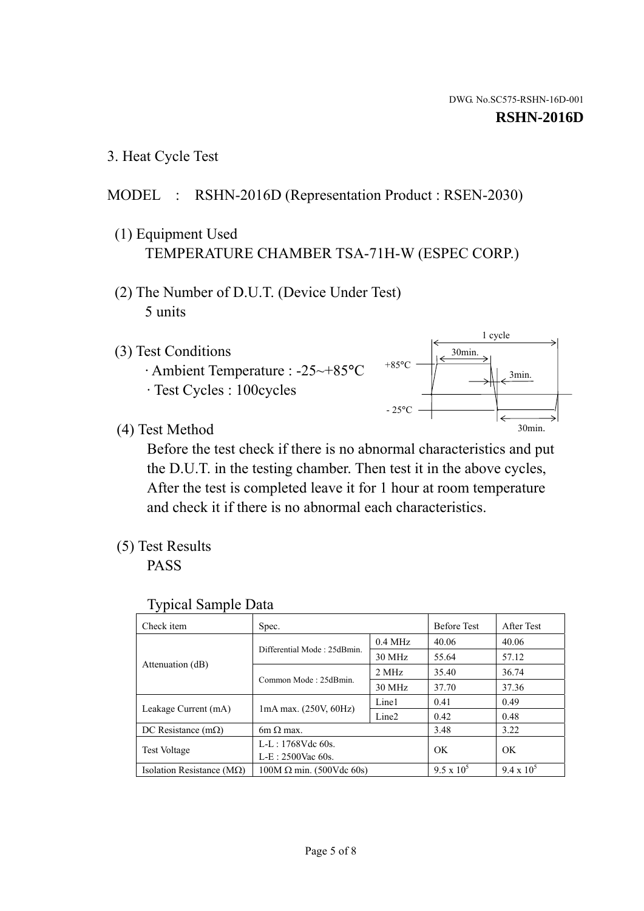1 cycle

30min.

3min.

30min.

3. Heat Cycle Test

## MODEL : RSHN-2016D (Representation Product : RSEN-2030)

- (1) Equipment Used TEMPERATURE CHAMBER TSA-71H-W (ESPEC CORP.)
- (2) The Number of D.U.T. (Device Under Test) 5 units
- (3) Test Conditions
	- · Ambient Temperature : -25~+85°C · Test Cycles : 100cycles
- (4) Test Method

 Before the test check if there is no abnormal characteristics and put the D.U.T. in the testing chamber. Then test it in the above cycles, After the test is completed leave it for 1 hour at room temperature and check it if there is no abnormal each characteristics.

 $+85$ °C

 $-25^{\circ}$ C

(5) Test Results

PASS

| <b>Typical Sample Data</b> |  |  |
|----------------------------|--|--|
|----------------------------|--|--|

| Check item                         | Spec.                           |                   | <b>Before Test</b> | After Test        |
|------------------------------------|---------------------------------|-------------------|--------------------|-------------------|
|                                    | Differential Mode: 25dBmin.     | $0.4$ MHz         | 40.06              | 40.06             |
|                                    |                                 | 30 MHz            | 55.64              | 57.12             |
| Attenuation (dB)                   | Common Mode: 25dBmin.           | 2 MHz             | 35.40              | 36.74             |
|                                    |                                 | 30 MHz            | 37.70              | 37.36             |
| Leakage Current (mA)               | $1mA$ max. $(250V, 60Hz)$       | Line1             | 0.41               | 0.49              |
|                                    |                                 | Line <sub>2</sub> | 0.42               | 0.48              |
| DC Resistance $(m\Omega)$          | 6m $\Omega$ max.                |                   | 3.48               | 3.22              |
| <b>Test Voltage</b>                | $L-L: 1768Vdc$ 60s.             |                   | OK                 | OK                |
|                                    | $L-E: 2500$ Vac 60s.            |                   |                    |                   |
| Isolation Resistance ( $M\Omega$ ) | $100M \Omega$ min. (500Vdc 60s) |                   | $9.5 \times 10^5$  | $9.4 \times 10^5$ |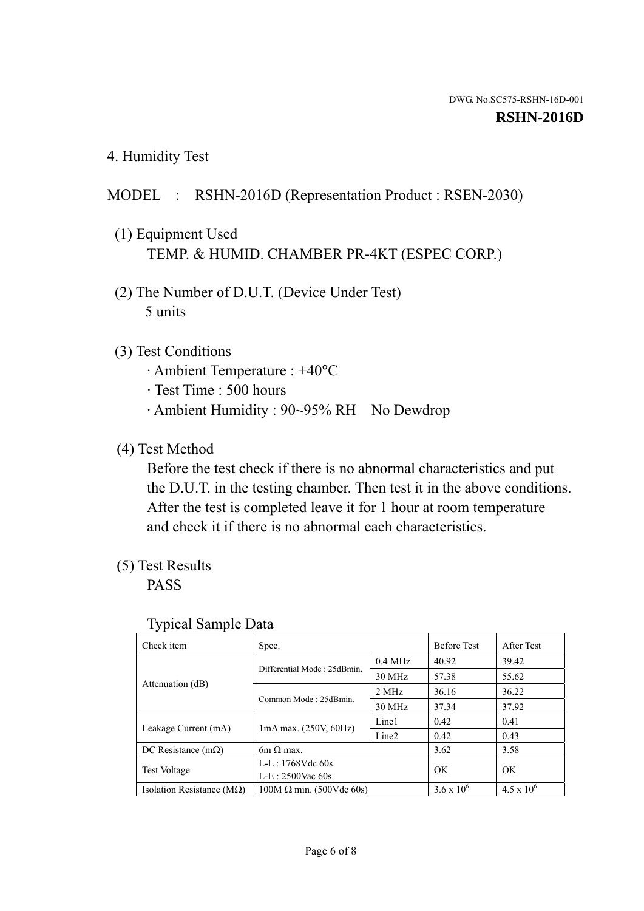4. Humidity Test

## MODEL : RSHN-2016D (Representation Product : RSEN-2030)

- (1) Equipment Used TEMP. & HUMID. CHAMBER PR-4KT (ESPEC CORP.)
- (2) The Number of D.U.T. (Device Under Test) 5 units

## (3) Test Conditions

- · Ambient Temperature : +40°C
- · Test Time : 500 hours
- · Ambient Humidity : 90~95% RH No Dewdrop

## (4) Test Method

 Before the test check if there is no abnormal characteristics and put the D.U.T. in the testing chamber. Then test it in the above conditions. After the test is completed leave it for 1 hour at room temperature and check it if there is no abnormal each characteristics.

## (5) Test Results

PASS

| . .                                |                                 |                   |                     |                     |
|------------------------------------|---------------------------------|-------------------|---------------------|---------------------|
| Check item                         | Spec.                           |                   | <b>Before Test</b>  | After Test          |
| Attenuation (dB)                   | Differential Mode: 25dBmin.     | $0.4$ MHz         | 40.92               | 39.42               |
|                                    |                                 | 30 MHz            | 57.38               | 55.62               |
|                                    | Common Mode: 25dBmin.           | 2 MHz             | 36.16               | 36.22               |
|                                    |                                 | 30 MHz            | 37.34               | 37.92               |
| Leakage Current (mA)               | $1mA$ max. $(250V, 60Hz)$       | Line1             | 0.42                | 0.41                |
|                                    |                                 | Line <sub>2</sub> | 0.42                | 0.43                |
| DC Resistance $(m\Omega)$          | 6m $\Omega$ max.                |                   | 3.62                | 3.58                |
| <b>Test Voltage</b>                | $L-L: 1768Vdc$ 60s.             |                   | OK                  |                     |
|                                    | $L-E$ : 2500Vac 60s.            |                   |                     | OK                  |
| Isolation Resistance ( $M\Omega$ ) | $100M \Omega$ min. (500Vdc 60s) |                   | $3.6 \times 10^{6}$ | $4.5 \times 10^{6}$ |

#### Typical Sample Data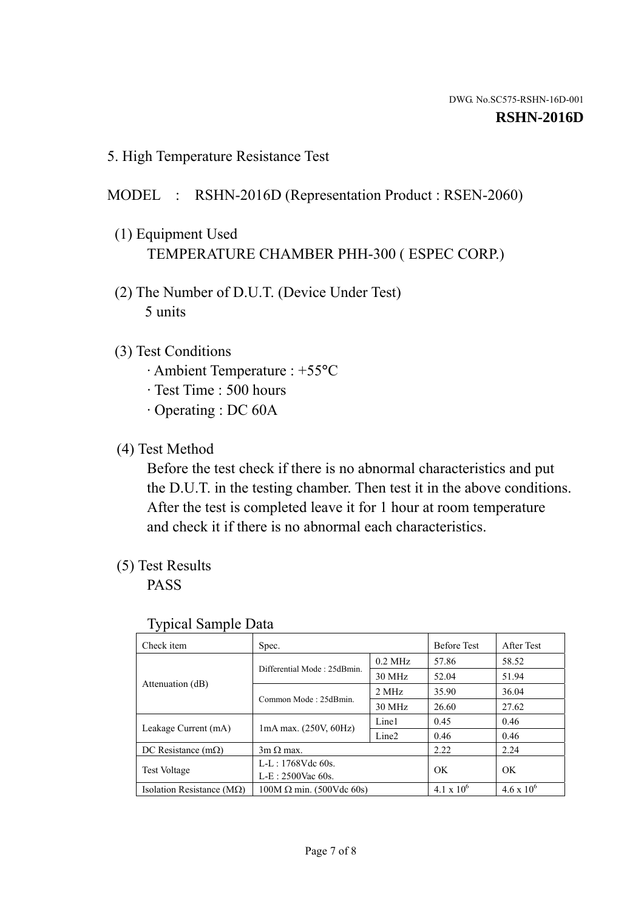5. High Temperature Resistance Test

## MODEL : RSHN-2016D (Representation Product : RSEN-2060)

- (1) Equipment Used TEMPERATURE CHAMBER PHH-300 ( ESPEC CORP.)
- (2) The Number of D.U.T. (Device Under Test) 5 units
- (3) Test Conditions
	- · Ambient Temperature : +55°C
	- · Test Time : 500 hours
	- · Operating : DC 60A
- (4) Test Method

 Before the test check if there is no abnormal characteristics and put the D.U.T. in the testing chamber. Then test it in the above conditions. After the test is completed leave it for 1 hour at room temperature and check it if there is no abnormal each characteristics.

(5) Test Results

PASS

| ┙┸                                 |                                 |                   |                     |                     |
|------------------------------------|---------------------------------|-------------------|---------------------|---------------------|
| Check item                         | Spec.                           |                   | <b>Before Test</b>  | After Test          |
|                                    | Differential Mode: 25dBmin.     | $0.2$ MHz         | 57.86               | 58.52               |
|                                    |                                 | 30 MHz            | 52.04               | 51.94               |
| Attenuation (dB)                   | Common Mode: 25dBmin.           | 2 MHz             | 35.90               | 36.04               |
|                                    |                                 | 30 MHz            | 26.60               | 27.62               |
| Leakage Current (mA)               | $1mA$ max. $(250V, 60Hz)$       | Line1             | 0.45                | 0.46                |
|                                    |                                 | Line <sub>2</sub> | 0.46                | 0.46                |
| DC Resistance $(m\Omega)$          | $3m \Omega$ max.                |                   | 2.22                | 2.24                |
| <b>Test Voltage</b>                | $L-L: 1768Vdc$ 60s.             |                   | OK                  | OK                  |
|                                    | $L-E: 2500$ Vac 60s.            |                   |                     |                     |
| Isolation Resistance ( $M\Omega$ ) | $100M \Omega$ min. (500Vdc 60s) |                   | $4.1 \times 10^{6}$ | $4.6 \times 10^{6}$ |

#### Typical Sample Data